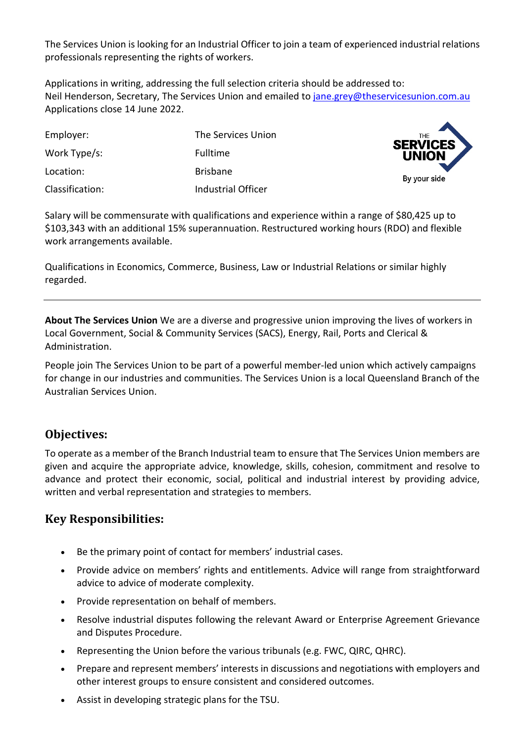The Services Union is looking for an Industrial Officer to join a team of experienced industrial relations professionals representing the rights of workers.

Applications in writing, addressing the full selection criteria should be addressed to: Neil Henderson, Secretary, The Services Union and emailed to [jane.grey@theservicesunion.com.au](mailto:jane.grey@theservicesunion.com.au) Applications close 14 June 2022.

| Employer:       | The Services Union |
|-----------------|--------------------|
| Work Type/s:    | <b>Fulltime</b>    |
| Location:       | <b>Brisbane</b>    |
| Classification: | Industrial Officer |



Salary will be commensurate with qualifications and experience within a range of \$80,425 up to \$103,343 with an additional 15% superannuation. Restructured working hours (RDO) and flexible work arrangements available.

Qualifications in Economics, Commerce, Business, Law or Industrial Relations or similar highly regarded.

**About The Services Union** We are a diverse and progressive union improving the lives of workers in Local Government, Social & Community Services (SACS), Energy, Rail, Ports and Clerical & Administration.

People join The Services Union to be part of a powerful member-led union which actively campaigns for change in our industries and communities. The Services Union is a local Queensland Branch of the Australian Services Union.

## **Objectives:**

To operate as a member of the Branch Industrial team to ensure that The Services Union members are given and acquire the appropriate advice, knowledge, skills, cohesion, commitment and resolve to advance and protect their economic, social, political and industrial interest by providing advice, written and verbal representation and strategies to members.

## **Key Responsibilities:**

- Be the primary point of contact for members' industrial cases.
- Provide advice on members' rights and entitlements. Advice will range from straightforward advice to advice of moderate complexity.
- Provide representation on behalf of members.
- Resolve industrial disputes following the relevant Award or Enterprise Agreement Grievance and Disputes Procedure.
- Representing the Union before the various tribunals (e.g. FWC, QIRC, QHRC).
- Prepare and represent members' interests in discussions and negotiations with employers and other interest groups to ensure consistent and considered outcomes.
- Assist in developing strategic plans for the TSU.